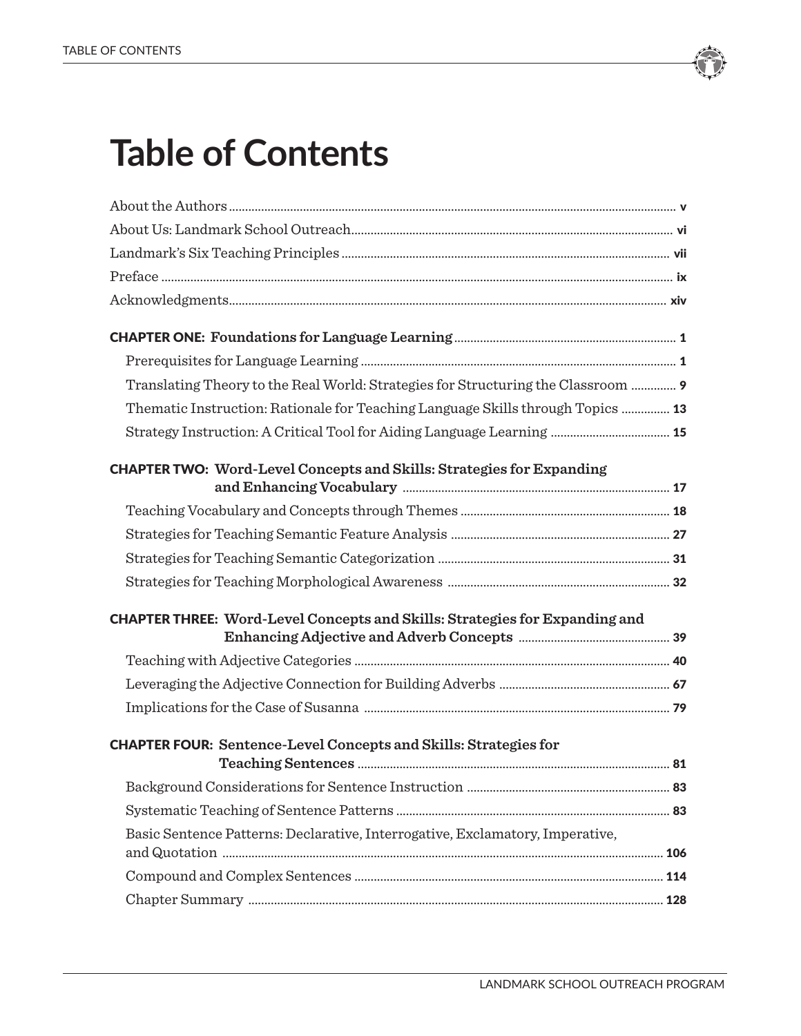

| Translating Theory to the Real World: Strategies for Structuring the Classroom  9  |  |
|------------------------------------------------------------------------------------|--|
| Thematic Instruction: Rationale for Teaching Language Skills through Topics  13    |  |
|                                                                                    |  |
| <b>CHAPTER TWO: Word-Level Concepts and Skills: Strategies for Expanding</b>       |  |
|                                                                                    |  |
|                                                                                    |  |
|                                                                                    |  |
|                                                                                    |  |
| <b>CHAPTER THREE: Word-Level Concepts and Skills: Strategies for Expanding and</b> |  |
|                                                                                    |  |
|                                                                                    |  |
|                                                                                    |  |
| <b>CHAPTER FOUR:</b> Sentence-Level Concepts and Skills: Strategies for            |  |
|                                                                                    |  |
|                                                                                    |  |
| Basic Sentence Patterns: Declarative, Interrogative, Exclamatory, Imperative,      |  |
|                                                                                    |  |
|                                                                                    |  |